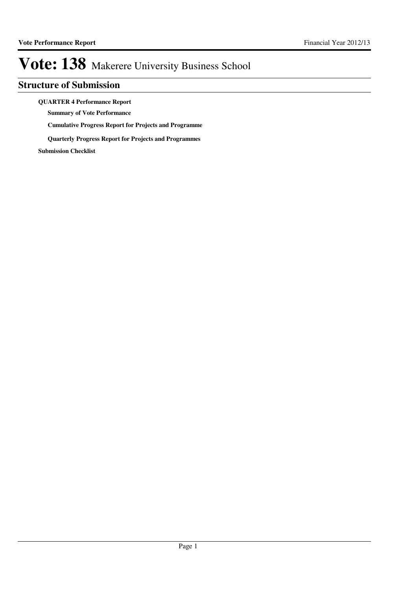### **Structure of Submission**

**QUARTER 4 Performance Report**

**Summary of Vote Performance**

**Cumulative Progress Report for Projects and Programme**

**Quarterly Progress Report for Projects and Programmes**

**Submission Checklist**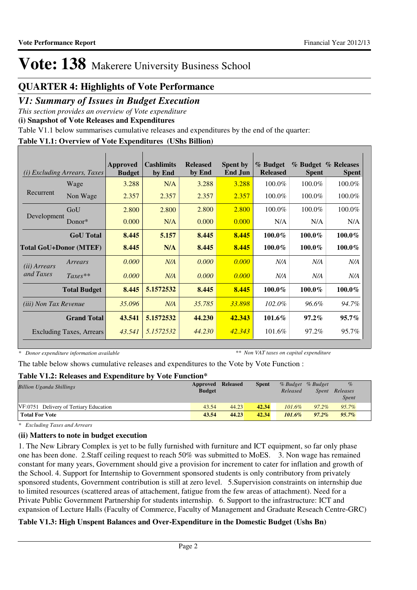### **QUARTER 4: Highlights of Vote Performance**

### *V1: Summary of Issues in Budget Execution*

*This section provides an overview of Vote expenditure* 

**(i) Snapshot of Vote Releases and Expenditures**

Table V1.1 below summarises cumulative releases and expenditures by the end of the quarter:

#### **Table V1.1: Overview of Vote Expenditures (UShs Billion)**

| (i)                           | <b>Excluding Arrears, Taxes</b> | Approved<br><b>Budget</b> | <b>Cashlimits</b><br>by End | <b>Released</b><br>by End | <b>Spent by</b><br><b>End Jun</b> | % Budget<br><b>Released</b> | <b>Spent</b> | % Budget % Releases<br><b>Spent</b> |
|-------------------------------|---------------------------------|---------------------------|-----------------------------|---------------------------|-----------------------------------|-----------------------------|--------------|-------------------------------------|
|                               | Wage                            | 3.288                     | N/A                         | 3.288                     | 3.288                             | 100.0%                      | 100.0%       | 100.0%                              |
| Recurrent                     | Non Wage                        | 2.357                     | 2.357                       | 2.357                     | 2.357                             | 100.0%                      | 100.0%       | 100.0%                              |
|                               | GoU                             | 2.800                     | 2.800                       | 2.800                     | 2.800                             | 100.0%                      | 100.0%       | 100.0%                              |
| Development                   | Donor $*$                       | 0.000                     | N/A                         | 0.000                     | 0.000                             | N/A                         | N/A          | N/A                                 |
|                               | <b>GoU</b> Total                | 8.445                     | 5.157                       | 8.445                     | 8.445                             | 100.0%                      | $100.0\%$    | $100.0\%$                           |
| <b>Total GoU+Donor (MTEF)</b> |                                 | 8.445                     | N/A                         | 8.445                     | 8.445                             | 100.0%                      | 100.0%       | $100.0\%$                           |
| ( <i>ii</i> ) Arrears         | Arrears                         | 0.000                     | N/A                         | 0.000                     | 0.000                             | N/A                         | N/A          | N/A                                 |
| and Taxes                     | $Taxes**$                       | 0.000                     | N/A                         | 0.000                     | 0.000                             | N/A                         | N/A          | N/A                                 |
|                               | <b>Total Budget</b>             | 8.445                     | 5.1572532                   | 8.445                     | 8.445                             | 100.0%                      | 100.0%       | $100.0\%$                           |
| <i>(iii)</i> Non Tax Revenue  |                                 | 35.096                    | N/A                         | 35.785                    | 33.898                            | 102.0%                      | 96.6%        | 94.7%                               |
|                               | <b>Grand Total</b>              | 43.541                    | 5.1572532                   | 44.230                    | 42.343                            | 101.6%                      | $97.2\%$     | $95.7\%$                            |
|                               | <b>Excluding Taxes, Arrears</b> | 43.541                    | 5.1572532                   | 44.230                    | 42.343                            | 101.6%                      | 97.2%        | 95.7%                               |

*\* Donor expenditure information available*

*\*\* Non VAT taxes on capital expenditure*

The table below shows cumulative releases and expenditures to the Vote by Vote Function :

#### **Table V1.2: Releases and Expenditure by Vote Function\***

| <b>Billion Uganda Shillings</b>        | <b>Approved Released</b><br><b>Budget</b> |       | <b>Spent</b> | Released  | % Budget % Budget<br>Spent | $\%$<br>Releases<br>Spent |
|----------------------------------------|-------------------------------------------|-------|--------------|-----------|----------------------------|---------------------------|
| VF:0751 Delivery of Tertiary Education | 43.54                                     | 44.23 | 42.34        | $101.6\%$ | $97.2\%$                   | $9.5.7\%$                 |
| <b>Total For Vote</b>                  | 43.54                                     | 44.23 | 42.34        | 101.6%    | $97.2\%$                   | $95.7\%$                  |

*\* Excluding Taxes and Arrears*

#### **(ii) Matters to note in budget execution**

1. The New Library Complex is yet to be fully furnished with furniture and ICT equipment, so far only phase one has been done. 2.Staff ceiling request to reach 50% was submitted to MoES. 3. Non wage has remained constant for many years, Government should give a provision for increment to cater for inflation and growth of the School. 4. Support for Internship to Government sponsored students is only contributory from privately sponsored students, Government contribution is still at zero level. 5.Supervision constraints on internship due to limited resources (scattered areas of attachement, fatigue from the few areas of attachment). Need for a Private Public Government Partnership for students internship. 6. Support to the infrastructure: ICT and expansion of Lecture Halls (Faculty of Commerce, Faculty of Management and Graduate Reseach Centre-GRC)

### **Table V1.3: High Unspent Balances and Over-Expenditure in the Domestic Budget (Ushs Bn)**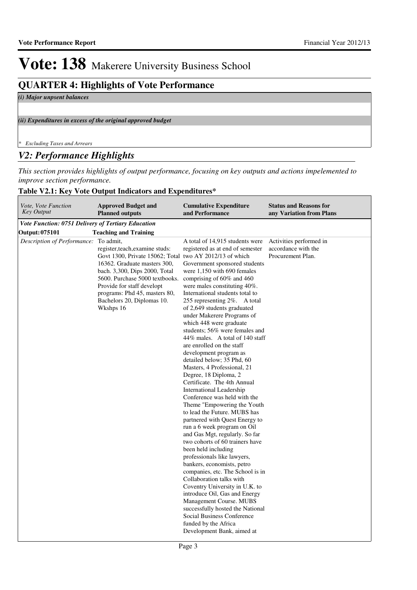### **QUARTER 4: Highlights of Vote Performance**

*(i) Major unpsent balances*

*(ii) Expenditures in excess of the original approved budget*

*\* Excluding Taxes and Arrears*

### *V2: Performance Highlights*

*This section provides highlights of output performance, focusing on key outputs and actions impelemented to improve section performance.*

#### **Table V2.1: Key Vote Output Indicators and Expenditures\***

| Vote, Vote Function<br><b>Key Output</b>                  | <b>Approved Budget and</b><br><b>Planned outputs</b>                                                                                                                                                                                                                                                                 | <b>Cumulative Expenditure</b><br>and Performance                                                                                                                                                                                                                                                                                                                                                                                                                                                                                                                                                                                                                                                                                                                                                                                                                                                                                                                                                                                                                                                                                                                                                                                                               | <b>Status and Reasons for</b><br>any Variation from Plans           |
|-----------------------------------------------------------|----------------------------------------------------------------------------------------------------------------------------------------------------------------------------------------------------------------------------------------------------------------------------------------------------------------------|----------------------------------------------------------------------------------------------------------------------------------------------------------------------------------------------------------------------------------------------------------------------------------------------------------------------------------------------------------------------------------------------------------------------------------------------------------------------------------------------------------------------------------------------------------------------------------------------------------------------------------------------------------------------------------------------------------------------------------------------------------------------------------------------------------------------------------------------------------------------------------------------------------------------------------------------------------------------------------------------------------------------------------------------------------------------------------------------------------------------------------------------------------------------------------------------------------------------------------------------------------------|---------------------------------------------------------------------|
| <b>Vote Function: 0751 Delivery of Tertiary Education</b> |                                                                                                                                                                                                                                                                                                                      |                                                                                                                                                                                                                                                                                                                                                                                                                                                                                                                                                                                                                                                                                                                                                                                                                                                                                                                                                                                                                                                                                                                                                                                                                                                                |                                                                     |
| Output: 075101                                            | <b>Teaching and Training</b>                                                                                                                                                                                                                                                                                         |                                                                                                                                                                                                                                                                                                                                                                                                                                                                                                                                                                                                                                                                                                                                                                                                                                                                                                                                                                                                                                                                                                                                                                                                                                                                |                                                                     |
| Description of Performance:                               | To admit,<br>register, teach, examine studs:<br>Govt 1300, Private 15062; Total two AY 2012/13 of which<br>16362. Graduate masters 300,<br>bach. 3,300, Dips 2000, Total<br>5600. Purchase 5000 textbooks.<br>Provide for staff developt<br>programs: Phd 45, masters 80,<br>Bachelors 20, Diplomas 10.<br>Wkshps 16 | A total of 14,915 students were<br>registered as at end of semester<br>Government sponsored students<br>were 1,150 with 690 females<br>comprising of $60\%$ and $460$<br>were males constituting 40%.<br>International students total to<br>255 representing 2\%. A total<br>of 2,649 students graduated<br>under Makerere Programs of<br>which 448 were graduate<br>students; 56% were females and<br>44\% males. A total of 140 staff<br>are enrolled on the staff<br>development program as<br>detailed below; 35 Phd, 60<br>Masters, 4 Professional, 21<br>Degree, 18 Diploma, 2<br>Certificate. The 4th Annual<br>International Leadership<br>Conference was held with the<br>Theme "Empowering the Youth<br>to lead the Future. MUBS has<br>partnered with Quest Energy to<br>run a 6 week program on Oil<br>and Gas Mgt, regularly. So far<br>two cohorts of 60 trainers have<br>been held including<br>professionals like lawyers,<br>bankers, economists, petro<br>companies, etc. The School is in<br>Collaboration talks with<br>Coventry University in U.K. to<br>introduce Oil, Gas and Energy<br>Management Course. MUBS<br>successfully hosted the National<br>Social Business Conference<br>funded by the Africa<br>Development Bank, aimed at | Activities performed in<br>accordance with the<br>Procurement Plan. |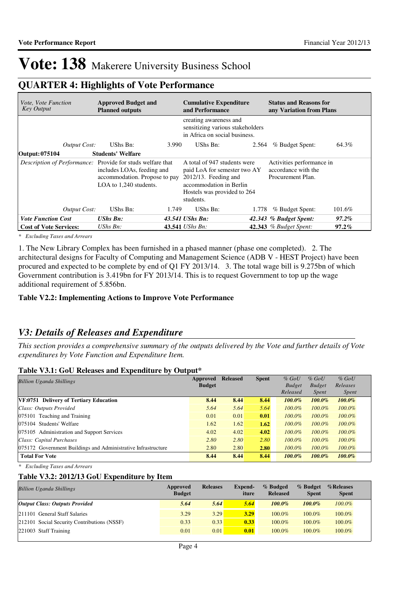### **QUARTER 4: Highlights of Vote Performance**

| <i>Vote, Vote Function</i><br>Key Output                          | <b>Approved Budget and</b><br><b>Planned outputs</b>                                  |       | <b>Cumulative Expenditure</b><br>and Performance                                                                                                            |       | <b>Status and Reasons for</b><br>any Variation from Plans             |           |
|-------------------------------------------------------------------|---------------------------------------------------------------------------------------|-------|-------------------------------------------------------------------------------------------------------------------------------------------------------------|-------|-----------------------------------------------------------------------|-----------|
|                                                                   |                                                                                       |       | creating awareness and<br>sensitizing various stakeholders<br>in Africa on social business.                                                                 |       |                                                                       |           |
| Output Cost:                                                      | UShs Bn:                                                                              | 3.990 | UShs Bn:                                                                                                                                                    | 2.564 | % Budget Spent:                                                       | 64.3%     |
| Output: 075104                                                    | <b>Students' Welfare</b>                                                              |       |                                                                                                                                                             |       |                                                                       |           |
| <i>Description of Performance:</i> Provide for studs welfare that | includes LOAs, feeding and<br>accommodation. Propose to pay<br>LOA to 1,240 students. |       | A total of 947 students were<br>paid LoA for semester two AY<br>2012/13. Feeding and<br>accommodation in Berlin<br>Hostels was provided to 264<br>students. |       | Activities performance in<br>accordance with the<br>Procurement Plan. |           |
| Output Cost:                                                      | UShs Bn:                                                                              | 1.749 | UShs Bn:                                                                                                                                                    | 1.778 | % Budget Spent:                                                       | $101.6\%$ |
| <b>Vote Function Cost</b>                                         | <b>UShs Bn:</b>                                                                       |       | 43.541 UShs Bn:                                                                                                                                             |       | 42.343 % Budget Spent:                                                | 97.2%     |
| <b>Cost of Vote Services:</b>                                     | UShs Bn:                                                                              |       | 43.541 <i>UShs Bn:</i>                                                                                                                                      |       | 42.343 % Budget Spent:                                                | $97.2\%$  |

*\* Excluding Taxes and Arrears*

1. The New Library Complex has been furnished in a phased manner (phase one completed). 2. The architectural designs for Faculty of Computing and Management Science (ADB V - HEST Project) have been procured and expected to be complete by end of Q1 FY 2013/14. 3. The total wage bill is 9.275bn of which Government contribution is 3.419bn for FY 2013/14. This is to request Government to top up the wage additional requirement of 5.856bn.

#### **Table V2.2: Implementing Actions to Improve Vote Performance**

### *V3: Details of Releases and Expenditure*

*This section provides a comprehensive summary of the outputs delivered by the Vote and further details of Vote expenditures by Vote Function and Expenditure Item.*

#### **Table V3.1: GoU Releases and Expenditure by Output\***

| <b>Billion Uganda Shillings</b>                               | Approved      | <b>Released</b> | <b>Spent</b> | $%$ GoU       | $%$ GoU       | $%$ GoU      |
|---------------------------------------------------------------|---------------|-----------------|--------------|---------------|---------------|--------------|
|                                                               | <b>Budget</b> |                 |              | <b>Budget</b> | <b>Budget</b> | Releases     |
|                                                               |               |                 |              | Released      | <i>Spent</i>  | <i>Spent</i> |
| VF:0751 Delivery of Tertiary Education                        | 8.44          | 8.44            | 8.44         | $100.0\%$     | $100.0\%$     | $100.0\%$    |
| Class: Outputs Provided                                       | 5.64          | 5.64            | 5.64         | $100.0\%$     | $100.0\%$     | $100.0\%$    |
| 075101 Teaching and Training                                  | 0.01          | 0.01            | 0.01         | $100.0\%$     | $100.0\%$     | $100.0\%$    |
| 075104 Students' Welfare                                      | 1.62          | 1.62            | 1.62         | $100.0\%$     | $100.0\%$     | $100.0\%$    |
| 075105 Administration and Support Services                    | 4.02          | 4.02            | 4.02         | $100.0\%$     | $100.0\%$     | $100.0\%$    |
| Class: Capital Purchases                                      | 2.80          | 2.80            | 2.80         | $100.0\%$     | $100.0\%$     | $100.0\%$    |
| 075172 Government Buildings and Administrative Infrastructure | 2.80          | 2.80            | 2.80         | $100.0\%$     | $100.0\%$     | $100.0\%$    |
| <b>Total For Vote</b>                                         | 8.44          | 8.44            | 8.44         | $100.0\%$     | $100.0\%$     | $100.0\%$    |

*\* Excluding Taxes and Arrears*

#### **Table V3.2: 2012/13 GoU Expenditure by Item**

| <b>Billion Uganda Shillings</b>             | Approved<br><b>Budget</b> | <b>Releases</b> | <b>Expend-</b><br>iture | % Budged<br><b>Released</b> | % Budget<br><b>Spent</b> | %Releases<br><b>Spent</b> |
|---------------------------------------------|---------------------------|-----------------|-------------------------|-----------------------------|--------------------------|---------------------------|
| <b>Output Class: Outputs Provided</b>       | 5.64                      | 5.64            | 5.64                    | $100.0\%$                   | $100.0\%$                | $100.0\%$                 |
| 211101 General Staff Salaries               | 3.29                      | 3.29            | 3.29                    | 100.0%                      | $100.0\%$                | 100.0%                    |
| 212101 Social Security Contributions (NSSF) | 0.33                      | 0.33            | 0.33                    | 100.0%                      | 100.0%                   | 100.0%                    |
| 221003 Staff Training                       | 0.01                      | 0.01            | 0.01                    | 100.0%                      | 100.0%                   | $100.0\%$                 |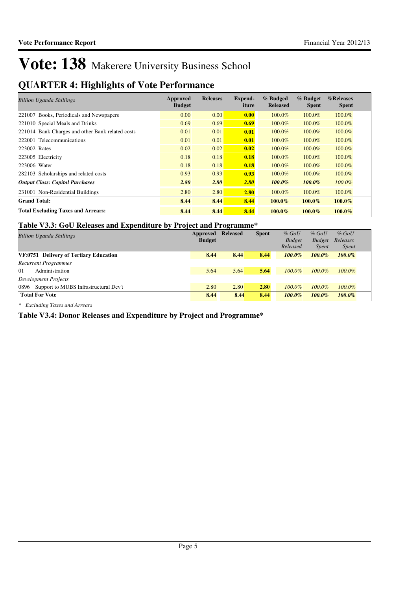### **QUARTER 4: Highlights of Vote Performance**

| <b>Billion Uganda Shillings</b>                  | Approved<br><b>Budget</b> | <b>Releases</b> | <b>Expend-</b><br>iture | % Budged<br><b>Released</b> | % Budget<br><b>Spent</b> | %Releases<br><b>Spent</b> |
|--------------------------------------------------|---------------------------|-----------------|-------------------------|-----------------------------|--------------------------|---------------------------|
| 221007 Books, Periodicals and Newspapers         | 0.00                      | 0.00            | 0.00                    | 100.0%                      | 100.0%                   | 100.0%                    |
| 221010 Special Meals and Drinks                  | 0.69                      | 0.69            | 0.69                    | 100.0%                      | 100.0%                   | 100.0%                    |
| 221014 Bank Charges and other Bank related costs | 0.01                      | 0.01            | 0.01                    | 100.0%                      | 100.0%                   | 100.0%                    |
| 222001 Telecommunications                        | 0.01                      | 0.01            | 0.01                    | 100.0%                      | 100.0%                   | 100.0%                    |
| 223002 Rates                                     | 0.02                      | 0.02            | 0.02                    | 100.0%                      | 100.0%                   | 100.0%                    |
| 223005 Electricity                               | 0.18                      | 0.18            | 0.18                    | 100.0%                      | 100.0%                   | 100.0%                    |
| 223006 Water                                     | 0.18                      | 0.18            | 0.18                    | 100.0%                      | 100.0%                   | 100.0%                    |
| 282103 Scholarships and related costs            | 0.93                      | 0.93            | 0.93                    | 100.0%                      | 100.0%                   | 100.0%                    |
| <b>Output Class: Capital Purchases</b>           | 2.80                      | 2.80            | 2.80                    | $100.0\%$                   | $100.0\%$                | $100.0\%$                 |
| 231001 Non-Residential Buildings                 | 2.80                      | 2.80            | 2.80                    | 100.0%                      | 100.0%                   | 100.0%                    |
| <b>Grand Total:</b>                              | 8.44                      | 8.44            | 8.44                    | $100.0\%$                   | $100.0\%$                | $100.0\%$                 |
| <b>Total Excluding Taxes and Arrears:</b>        | 8.44                      | 8.44            | 8.44                    | $100.0\%$                   | $100.0\%$                | $100.0\%$                 |

#### **Table V3.3: GoU Releases and Expenditure by Project and Programme\***

| <b>Billion Uganda Shillings</b>               | Approved<br><b>Budget</b> | <b>Released</b> | <b>Spent</b> | $%$ GoU<br><b>Budget</b> | $%$ GoU<br><b>Budget</b> | $%$ GoU<br>Releases |
|-----------------------------------------------|---------------------------|-----------------|--------------|--------------------------|--------------------------|---------------------|
|                                               |                           |                 |              | Released                 | <i>Spent</i>             | <i>Spent</i>        |
| <b>VF:0751 Delivery of Tertiary Education</b> | 8.44                      | 8.44            | 8.44         | $100.0\%$                | $100.0\%$                | $100.0\%$           |
| <b>Recurrent Programmes</b>                   |                           |                 |              |                          |                          |                     |
| Administration<br>01                          | 5.64                      | 5.64            | 5.64         | $100.0\%$                | $100.0\%$                | $100.0\%$           |
| Development Projects                          |                           |                 |              |                          |                          |                     |
| 0896<br>Support to MUBS Infrastructural Dev't | 2.80                      | 2.80            | 2.80         | $100.0\%$                | $100.0\%$                | $100.0\%$           |
| <b>Total For Vote</b>                         | 8.44                      | 8.44            | 8.44         | $100.0\%$                | $100.0\%$                | $100.0\%$           |

*\* Excluding Taxes and Arrears*

#### **Table V3.4: Donor Releases and Expenditure by Project and Programme\***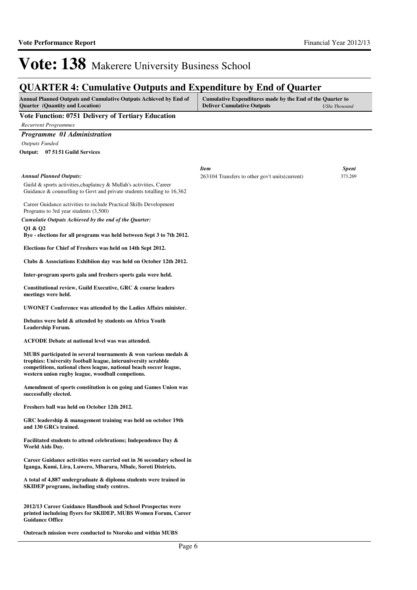| <b>QUARTER 4: Cumulative Outputs and Expenditure by End of Quarter</b>                                                                                                                                                                                            |                                                                                                |                      |
|-------------------------------------------------------------------------------------------------------------------------------------------------------------------------------------------------------------------------------------------------------------------|------------------------------------------------------------------------------------------------|----------------------|
| Annual Planned Outputs and Cumulative Outputs Achieved by End of<br><b>Quarter</b> (Quantity and Location)                                                                                                                                                        | Cumulative Expenditures made by the End of the Quarter to<br><b>Deliver Cumulative Outputs</b> | <b>UShs Thousand</b> |
| Vote Function: 0751 Delivery of Tertiary Education<br><b>Recurrent Programmes</b>                                                                                                                                                                                 |                                                                                                |                      |
| Programme 01 Administration                                                                                                                                                                                                                                       |                                                                                                |                      |
| <b>Outputs Funded</b>                                                                                                                                                                                                                                             |                                                                                                |                      |
| Output: 07 51 51 Guild Services                                                                                                                                                                                                                                   |                                                                                                |                      |
|                                                                                                                                                                                                                                                                   | <b>Item</b>                                                                                    | <b>Spent</b>         |
| <b>Annual Planned Outputs:</b>                                                                                                                                                                                                                                    | 263104 Transfers to other gov't units (current)                                                | 373,269              |
| Guild & sports activities, chaplaincy & Mullah's activities, Career<br>Guidance & counselling to Govt and private students totalling to 16,362                                                                                                                    |                                                                                                |                      |
| Career Guidance activities to include Practical Skills Development<br>Programs to 3rd year students (3,500)                                                                                                                                                       |                                                                                                |                      |
| Cumulatie Outputs Achieved by the end of the Quarter:                                                                                                                                                                                                             |                                                                                                |                      |
| 01 & 02<br>Bye - elections for all programs was held between Sept 3 to 7th 2012.                                                                                                                                                                                  |                                                                                                |                      |
| Elections for Chief of Freshers was held on 14th Sept 2012.                                                                                                                                                                                                       |                                                                                                |                      |
| Clubs & Associations Exhibiion day was held on October 12th 2012.                                                                                                                                                                                                 |                                                                                                |                      |
| Inter-program sports gala and freshers sports gala were held.                                                                                                                                                                                                     |                                                                                                |                      |
| Constitutional review, Guild Executive, GRC & course leaders<br>meetings were held.                                                                                                                                                                               |                                                                                                |                      |
| <b>UWONET Conference was attended by the Ladies Affairs minister.</b>                                                                                                                                                                                             |                                                                                                |                      |
| Debates were held & attended by students on Africa Youth<br>Leadership Forum.                                                                                                                                                                                     |                                                                                                |                      |
| ACFODE Debate at national level was was attended.                                                                                                                                                                                                                 |                                                                                                |                      |
| MUBS participated in several tournaments $\&$ won various medals $\&$<br>trophies: University football league, interuniversity scrabble<br>competitions, national chess league, national beach soccer league,<br>western union rugby league, woodball competions. |                                                                                                |                      |
| Amendment of sports constitution is on going and Games Union was<br>successfully elected.                                                                                                                                                                         |                                                                                                |                      |
| Freshers ball was held on October 12th 2012.                                                                                                                                                                                                                      |                                                                                                |                      |
| GRC leadership & management training was held on october 19th<br>and 130 GRCs trained.                                                                                                                                                                            |                                                                                                |                      |
| Facilitated students to attend celebrations; Independence Day &<br>World Aids Day.                                                                                                                                                                                |                                                                                                |                      |
| Career Guidance activities were carried out in 36 secondary school in<br>Iganga, Kumi, Lira, Luwero, Mbarara, Mbale, Soroti Districts.                                                                                                                            |                                                                                                |                      |
| A total of 4,887 undergraduate & diploma students were trained in<br><b>SKIDEP</b> programs, including study centres.                                                                                                                                             |                                                                                                |                      |
| 2012/13 Career Guidance Handbook and School Prospectus were<br>printed includeing flyers for SKIDEP, MUBS Women Forum, Career<br><b>Guidance Office</b>                                                                                                           |                                                                                                |                      |

**Outreach mission were conducted to Ntoroko and within MUBS**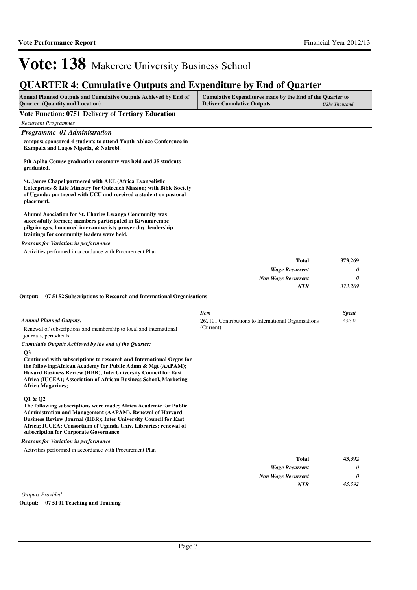*43,392*

*NTR*

## Vote: 138 Makerere University Business School

## **QUARTER 4: Cumulative Outputs and Expenditure by End of Quarter**

| <b>Annual Planned Outputs and Cumulative Outputs Achieved by End of</b> | Cumulative Expenditures made by the End of the Quarter to |                      |  |  |  |
|-------------------------------------------------------------------------|-----------------------------------------------------------|----------------------|--|--|--|
| <b>Ouarter</b> (Quantity and Location)                                  | <b>Deliver Cumulative Outputs</b>                         | <b>UShs Thousand</b> |  |  |  |

| $\circ$ and the $\circ$ dimension and location $\circ$                                                                                                                                                                            | Denver Camananve Gaepaco  | оэнэ тойзана |
|-----------------------------------------------------------------------------------------------------------------------------------------------------------------------------------------------------------------------------------|---------------------------|--------------|
| <b>Vote Function: 0751 Delivery of Tertiary Education</b>                                                                                                                                                                         |                           |              |
| <b>Recurrent Programmes</b>                                                                                                                                                                                                       |                           |              |
| Programme 01 Administration                                                                                                                                                                                                       |                           |              |
| campus; sponsored 4 students to attend Youth Ablaze Conference in<br>Kampala and Lagos Nigeria, & Nairobi.                                                                                                                        |                           |              |
| 5th Aplha Course graduation ceremony was held and 35 students<br>graduated.                                                                                                                                                       |                           |              |
| <b>St. James Chapel partnered with AEE (Africa Evangelistic)</b><br>Enterprises & Life Ministry for Outreach Mission; with Bible Society<br>of Uganda; partnered with UCU and received a student on pastoral<br>placement.        |                           |              |
| Alumni Asociation for St. Charles Lwanga Community was<br>successfully formed; members participated in Kiwamirembe<br>pilgrimages, honoured inter-univeristy prayer day, leadership<br>trainings for community leaders were held. |                           |              |
| <b>Reasons for Variation in performance</b>                                                                                                                                                                                       |                           |              |
| Activities performed in accordance with Procurement Plan                                                                                                                                                                          |                           |              |
|                                                                                                                                                                                                                                   | <b>Total</b>              | 373,269      |
|                                                                                                                                                                                                                                   | <b>Wage Recurrent</b>     | 0            |
|                                                                                                                                                                                                                                   | <b>Non Wage Recurrent</b> | 0            |
|                                                                                                                                                                                                                                   | <b>NTR</b>                | 373,269      |

|                                                                                                                                                                                                                                                                                                                                         | <b>Item</b>                                         | <b>Spent</b> |
|-----------------------------------------------------------------------------------------------------------------------------------------------------------------------------------------------------------------------------------------------------------------------------------------------------------------------------------------|-----------------------------------------------------|--------------|
| <b>Annual Planned Outputs:</b>                                                                                                                                                                                                                                                                                                          | 262101 Contributions to International Organisations | 43,392       |
| Renewal of subscriptions and membership to local and international<br>journals, periodicals                                                                                                                                                                                                                                             | (Current)                                           |              |
| Cumulatie Outputs Achieved by the end of the Quarter:                                                                                                                                                                                                                                                                                   |                                                     |              |
| Q <sub>3</sub><br>Continued with subscriptions to research and International Orgns for<br>the following; African Academy for Public Admn & Mgt (AAPAM);<br>Havard Business Review (HBR), InterUniversity Council for East<br>Africa (IUCEA); Association of African Business School, Marketing<br><b>Africa Magazines;</b>              |                                                     |              |
| Q1 & Q2<br>The following subscriptions were made; Africa Academic for Public<br><b>Administration and Management (AAPAM). Renewal of Harvard</b><br><b>Business Review Journal (HBR); Inter University Council for East</b><br>Africa; IUCEA; Consortium of Uganda Univ. Libraries; renewal of<br>subscription for Corporate Governance |                                                     |              |
| <b>Reasons for Variation in performance</b>                                                                                                                                                                                                                                                                                             |                                                     |              |
| Activities performed in accordance with Procurement Plan                                                                                                                                                                                                                                                                                |                                                     |              |
|                                                                                                                                                                                                                                                                                                                                         | <b>Total</b>                                        | 43,392       |
|                                                                                                                                                                                                                                                                                                                                         | <b>Wage Recurrent</b>                               | 0            |
|                                                                                                                                                                                                                                                                                                                                         | <b>Non Wage Recurrent</b>                           | $\theta$     |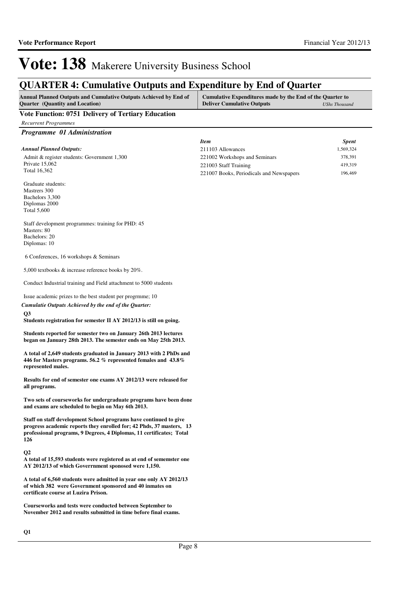### **QUARTER 4: Cumulative Outputs and Expenditure by End of Quarter**

| <b>Annual Planned Outputs and Cumulative Outputs Achieved by End of</b> | Cumulative Expenditures made by the End of the Quarter to |               |
|-------------------------------------------------------------------------|-----------------------------------------------------------|---------------|
| <b>Quarter</b> (Quantity and Location)                                  | <b>Deliver Cumulative Outputs</b>                         | UShs Thousand |

#### **Vote Function: 0751 Delivery of Tertiary Education**

*Recurrent Programmes*

*Programme 01 Administration*

|                                             | Item                                     | <b>Spent</b> |
|---------------------------------------------|------------------------------------------|--------------|
| Annual Planned Outputs:                     | 211103 Allowances                        | 1,569,324    |
| Admit & register students: Government 1,300 | 221002 Workshops and Seminars            | 378.391      |
| Private 15,062                              | 221003 Staff Training                    | 419.319      |
| Total 16.362                                | 221007 Books, Periodicals and Newspapers | 196.469      |

Graduate students: Mastrers 300 Bachelors 3,300 Diplomas 2000 Total 5,600

Staff development programmes: training for PHD: 45 Masters: 80 Bachelors: 20 Diplomas: 10

6 Conferences, 16 workshops & Seminars

5,000 textbooks & increase reference books by 20%.

Conduct Industrial training and Field attachment to 5000 students

Issue academic prizes to the best student per progrmme; 10

**Q3** *Cumulatie Outputs Achieved by the end of the Quarter:*

**Students registration for semester II AY 2012/13 is still on going.**

**Students reported for semester two on January 26th 2013 lectures began on January 28th 2013. The semester ends on May 25th 2013.**

**A total of 2,649 students graduated in January 2013 with 2 PhDs and 446 for Masters programs. 56.2 % represented females and 43.8% represented males.**

**Results for end of semester one exams AY 2012/13 were released for all programs.**

**Two sets of courseworks for undergraduate programs have been done and exams are scheduled to begin on May 6th 2013.**

**Staff on staff development School programs have continued to give progress academic reports they enrolled for; 42 Phds, 37 masters, 13 professional programs, 9 Degrees, 4 Diplomas, 11 certificates; Total 126**

#### **Q2**

**A total of 15,593 students were registered as at end of sememster one AY 2012/13 of which Goverrnment sponosed were 1,150.**

**A total of 6,560 students were admitted in year one only AY 2012/13 of which 382 were Government sponsored and 40 inmates on certificate course at Luzira Prison.**

**Courseworks and tests were conducted between September to November 2012 and results submitted in time before final exams.**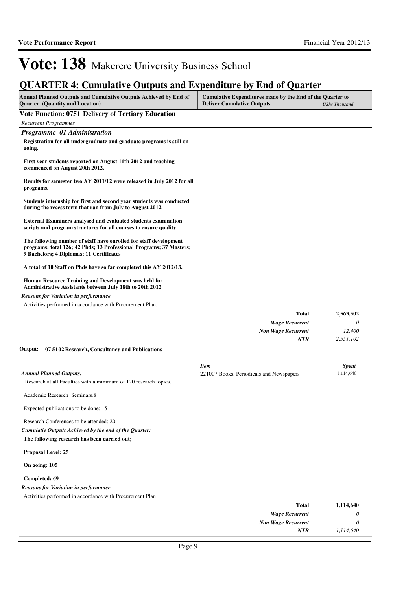*1,114,640*

*NTR*

## Vote: 138 Makerere University Business School

### **QUARTER 4: Cumulative Outputs and Expenditure by End of Quarter**

| <b>Annual Planned Outputs and Cumulative Outputs Achieved by End of</b> | Cumulative Expenditures made by the End of the Quarter to |               |
|-------------------------------------------------------------------------|-----------------------------------------------------------|---------------|
| <b>Ouarter</b> (Quantity and Location)                                  | <b>Deliver Cumulative Outputs</b>                         | UShs Thousand |
| Vote Eungtian: 0751 Delivery of Tentiany Education                      |                                                           |               |

#### **Vote Function: 0751 Delivery of Tertiary Education** *Recurrent Programmes Programme 01 Administration* **Registration for all undergraduate and graduate programs is still on going. First year students reported on August 11th 2012 and teaching commenced on August 20th 2012. Results for semester two AY 2011/12 were released in July 2012 for all programs. Students internship for first and second year students was conducted during the recess term that ran from July to August 2012. External Examiners analysed and evaluated students examination scripts and program structures for all courses to ensure quality. The following number of staff have enrolled for staff development programs; total 126; 42 Phds; 13 Professional Programs; 37 Masters; 9 Bachelors; 4 Diplomas; 11 Certificates A total of 10 Staff on Phds have so far completed this AY 2012/13. Human Resource Training and Development was held for Administrative Assistants between July 18th to 20th 2012** *Wage Recurrent Non Wage Recurrent* **Total** *0 12,400 2,551,102* **2,563,502** *NTR* Activities performed in accordance with Procurement Plan. *Reasons for Variation in performance* **07 5102 Research, Consultancy and Publications Output:**

|                                                                  | <b>Item</b>                              | <b>Spent</b> |
|------------------------------------------------------------------|------------------------------------------|--------------|
| <b>Annual Planned Outputs:</b>                                   | 221007 Books, Periodicals and Newspapers | 1,114,640    |
| Research at all Faculties with a minimum of 120 research topics. |                                          |              |
| Academic Research Seminars.8                                     |                                          |              |
|                                                                  |                                          |              |
| Expected publications to be done: 15                             |                                          |              |
| Research Conferences to be attended: 20                          |                                          |              |
| Cumulatie Outputs Achieved by the end of the Quarter:            |                                          |              |
| The following research has been carried out;                     |                                          |              |
| Proposal Level: 25                                               |                                          |              |
| On going: 105                                                    |                                          |              |
| Completed: 69                                                    |                                          |              |
| <b>Reasons for Variation in performance</b>                      |                                          |              |
| Activities performed in accordance with Procurement Plan         |                                          |              |
|                                                                  | <b>Total</b>                             | 1,114,640    |
|                                                                  | <b>Wage Recurrent</b>                    | 0            |
|                                                                  | <b>Non Wage Recurrent</b>                | 0            |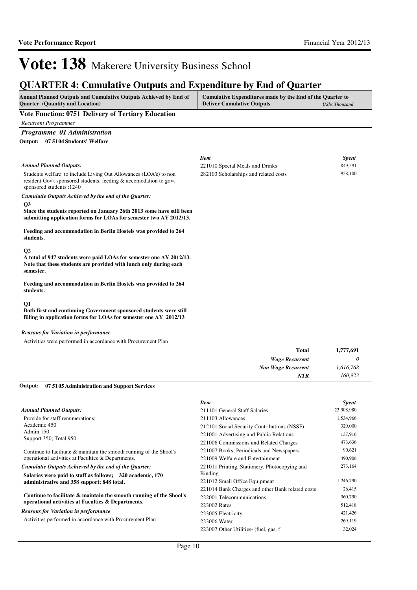## **QUARTER 4: Cumulative Outputs and Expenditure by End of Quarter**

| <b>Annual Planned Outputs and Cumulative Outputs Achieved by End of</b> | Cumulative Expenditures made by the End of the Quarter to |                      |
|-------------------------------------------------------------------------|-----------------------------------------------------------|----------------------|
| <b>Ouarter</b> (Quantity and Location)                                  | <b>Deliver Cumulative Outputs</b>                         | <b>UShs Thousand</b> |
|                                                                         |                                                           |                      |

#### **Vote Function: 0751 Delivery of Tertiary Education**

*Recurrent Programmes*

*Programme 01 Administration*

**07 5104 Students' Welfare Output:**

|                                                                                                                                                                       | <b>Item</b>                           | <b>Spent</b> |
|-----------------------------------------------------------------------------------------------------------------------------------------------------------------------|---------------------------------------|--------------|
| <b>Annual Planned Outputs:</b>                                                                                                                                        | 221010 Special Meals and Drinks       | 849,591      |
| Students welfare to include Living Out Allowances (LOA's) to non<br>resident Gov't sponsored students, feeding & accomodation to govt<br>sponsored students: 1240     | 282103 Scholarships and related costs | 928,100      |
| Cumulatie Outputs Achieved by the end of the Quarter:                                                                                                                 |                                       |              |
| $\overline{O3}$<br>Since the students reported on January 26th 2013 some have still been<br>submitting application forms for LOAs for semester two AY 2012/13.        |                                       |              |
| Feeding and accommodation in Berlin Hostels was provided to 264<br>students.                                                                                          |                                       |              |
| $\mathbf{Q}$<br>A total of 947 students were paid LOAs for semester one AY 2012/13.<br>Note that these students are provided with lunch only during each<br>semester. |                                       |              |
| Feeding and accommodation in Berlin Hostels was provided to 264<br>students.                                                                                          |                                       |              |
| Q <sub>1</sub><br>Both first and continuing Government sponsored students were still<br>filling in application forms for LOAs for semester one AY 2012/13             |                                       |              |
| <b>Reasons for Variation in performance</b>                                                                                                                           |                                       |              |

Activities were performed in accordance with Procurement Plan

| <b>Total</b>              | 1,777,691 |
|---------------------------|-----------|
| <b>Wage Recurrent</b>     |           |
| <b>Non Wage Recurrent</b> | 1,616,768 |
| <b>NTR</b>                | 160,923   |

#### **07 5105 Administration and Support Services Output:**

|                                                                     | <b>Item</b>                                      | <b>Spent</b> |
|---------------------------------------------------------------------|--------------------------------------------------|--------------|
| <b>Annual Planned Outputs:</b>                                      | 211101 General Staff Salaries                    | 23,908,980   |
| Provide for staff renumerations;                                    | 211103 Allowances                                | 1,534,966    |
| Academic 450                                                        | 212101 Social Security Contributions (NSSF)      | 329,000      |
| Admin 150<br>Support 350; Total 950                                 | 221001 Advertising and Public Relations          | 137,916      |
|                                                                     | 221006 Commissions and Related Charges           | 473,636      |
| Continue to facilitate & maintain the smooth running of the Shool's | 221007 Books, Periodicals and Newspapers         | 90,621       |
| operational activities at Faculties & Departments.                  | 221009 Welfare and Entertainment                 | 490,906      |
| Cumulatie Outputs Achieved by the end of the Quarter:               | 221011 Printing, Stationery, Photocopying and    | 273,164      |
| Salaries were paid to staff as follows: 320 academic, 170           | Binding                                          |              |
| administrative and 358 support; 848 total.                          | 221012 Small Office Equipment                    | 1,246,790    |
|                                                                     | 221014 Bank Charges and other Bank related costs | 26,415       |
| Continue to facilitate & maintain the smooth running of the Shool's | 222001 Telecommunications                        | 360,790      |
| operational activities at Faculties & Departments.                  | 223002 Rates                                     | 512,418      |
| <b>Reasons for Variation in performance</b>                         | 223005 Electricity                               | 421,426      |
| Activities performed in accordance with Procurement Plan            | 223006 Water                                     | 269,119      |
|                                                                     | 223007 Other Utilities- (fuel, gas, f            | 32,024       |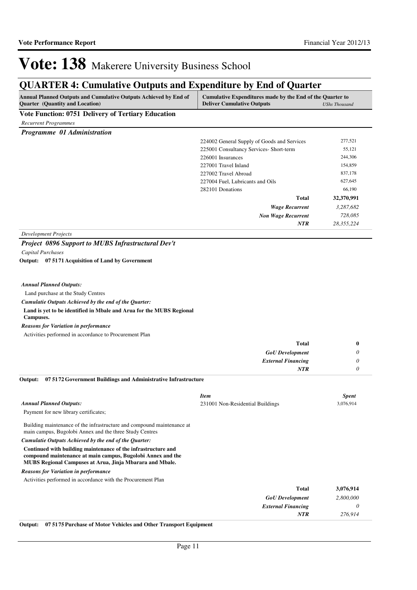### **QUARTER 4: Cumulative Outputs and Expenditure by End of Quarter**

| Annual Planned Outputs and Cumulative Outputs Achieved by End of<br><b>Quarter</b> (Quantity and Location)                                                                               | Cumulative Expenditures made by the End of the Quarter to<br><b>Deliver Cumulative Outputs</b> | <b>UShs Thousand</b> |
|------------------------------------------------------------------------------------------------------------------------------------------------------------------------------------------|------------------------------------------------------------------------------------------------|----------------------|
| <b>Vote Function: 0751 Delivery of Tertiary Education</b>                                                                                                                                |                                                                                                |                      |
| <b>Recurrent Programmes</b>                                                                                                                                                              |                                                                                                |                      |
| Programme 01 Administration                                                                                                                                                              |                                                                                                |                      |
|                                                                                                                                                                                          | 224002 General Supply of Goods and Services                                                    | 277,521              |
|                                                                                                                                                                                          | 225001 Consultancy Services- Short-term                                                        | 55,121               |
|                                                                                                                                                                                          | 226001 Insurances                                                                              | 244,306              |
|                                                                                                                                                                                          | 227001 Travel Inland                                                                           | 154,859              |
|                                                                                                                                                                                          | 227002 Travel Abroad                                                                           | 837,178              |
|                                                                                                                                                                                          | 227004 Fuel, Lubricants and Oils                                                               | 627,645              |
|                                                                                                                                                                                          | 282101 Donations                                                                               | 66,190               |
|                                                                                                                                                                                          | Total                                                                                          | 32,370,991           |
|                                                                                                                                                                                          | <b>Wage Recurrent</b>                                                                          | 3,287,682            |
|                                                                                                                                                                                          | <b>Non Wage Recurrent</b>                                                                      | 728,085              |
|                                                                                                                                                                                          | <b>NTR</b>                                                                                     | 28,355,224           |
| <b>Development Projects</b>                                                                                                                                                              |                                                                                                |                      |
| <b>Project 0896 Support to MUBS Infrastructural Dev't</b>                                                                                                                                |                                                                                                |                      |
| Capital Purchases                                                                                                                                                                        |                                                                                                |                      |
| Output: 07 5171 Acquisition of Land by Government                                                                                                                                        |                                                                                                |                      |
|                                                                                                                                                                                          |                                                                                                |                      |
|                                                                                                                                                                                          |                                                                                                |                      |
| <b>Annual Planned Outputs:</b>                                                                                                                                                           |                                                                                                |                      |
| Land purchase at the Study Centres                                                                                                                                                       |                                                                                                |                      |
| Cumulatie Outputs Achieved by the end of the Quarter:                                                                                                                                    |                                                                                                |                      |
| Land is yet to be identified in Mbale and Arua for the MUBS Regional<br>Campuses.                                                                                                        |                                                                                                |                      |
| <b>Reasons for Variation in performance</b>                                                                                                                                              |                                                                                                |                      |
| Activities performed in accordance to Procurement Plan                                                                                                                                   |                                                                                                |                      |
|                                                                                                                                                                                          | Total                                                                                          | 0                    |
|                                                                                                                                                                                          | <b>GoU</b> Development                                                                         | 0                    |
|                                                                                                                                                                                          | <b>External Financing</b>                                                                      | 0                    |
|                                                                                                                                                                                          | <b>NTR</b>                                                                                     | 0                    |
| Output:<br>07 51 72 Government Buildings and Administrative Infrastructure                                                                                                               |                                                                                                |                      |
|                                                                                                                                                                                          |                                                                                                |                      |
|                                                                                                                                                                                          | <b>Item</b>                                                                                    | <b>Spent</b>         |
| <b>Annual Planned Outputs:</b>                                                                                                                                                           | 231001 Non-Residential Buildings                                                               | 3,076,914            |
| Payment for new library certificates;                                                                                                                                                    |                                                                                                |                      |
| Building maintenance of the infrastructure and compound maintenance at<br>main campus, Bugolobi Annex and the three Study Centres                                                        |                                                                                                |                      |
| Cumulatie Outputs Achieved by the end of the Quarter:                                                                                                                                    |                                                                                                |                      |
| Continued with building maintenance of the infrastructure and<br>compound maintenance at main campus, Bugolobi Annex and the<br>MUBS Regional Campuses at Arua, Jinja Mbarara and Mbale. |                                                                                                |                      |
| <b>Reasons for Variation in performance</b>                                                                                                                                              |                                                                                                |                      |
| Activities performed in accordance with the Procurement Plan                                                                                                                             |                                                                                                |                      |
|                                                                                                                                                                                          | <b>Total</b>                                                                                   | 3,076,914            |
|                                                                                                                                                                                          | <b>GoU</b> Development                                                                         | 2,800,000            |
|                                                                                                                                                                                          | <b>External Financing</b>                                                                      | 0                    |
|                                                                                                                                                                                          | <b>NTR</b>                                                                                     | 276,914              |

**Output: 07 5175 Purchase of Motor Vehicles and Other Transport Equipment**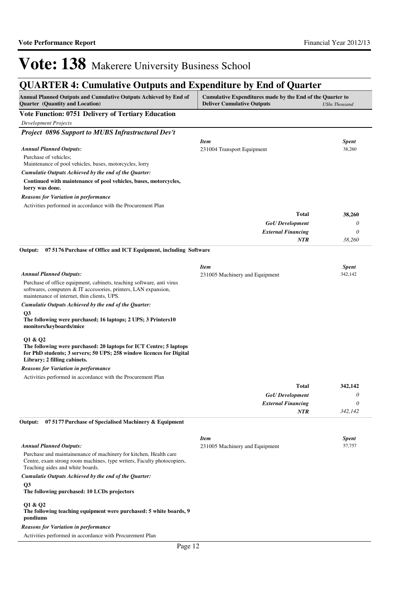### **QUA DTED 4: Cumulative Outputs and Evnanditure by End of Quarter**

| Annual Planned Outputs and Cumulative Outputs Achieved by End of<br>Quarter (Quantity and Location)                                                                                     | Cumulative Expenditures made by the End of the Quarter to<br><b>Deliver Cumulative Outputs</b> | <b>UShs Thousand</b> |
|-----------------------------------------------------------------------------------------------------------------------------------------------------------------------------------------|------------------------------------------------------------------------------------------------|----------------------|
| <b>Vote Function: 0751 Delivery of Tertiary Education</b>                                                                                                                               |                                                                                                |                      |
| <b>Development Projects</b>                                                                                                                                                             |                                                                                                |                      |
| Project 0896 Support to MUBS Infrastructural Dev't                                                                                                                                      |                                                                                                |                      |
|                                                                                                                                                                                         | <b>Item</b>                                                                                    | <b>Spent</b>         |
| <b>Annual Planned Outputs:</b>                                                                                                                                                          | 231004 Transport Equipment                                                                     | 38,260               |
| Purchase of vehicles;<br>Maintenance of pool vehicles, buses, motorcycles, lorry                                                                                                        |                                                                                                |                      |
| Cumulatie Outputs Achieved by the end of the Quarter:                                                                                                                                   |                                                                                                |                      |
| Continued with maintenance of pool vehicles, buses, motorcycles,<br>lorry was done.                                                                                                     |                                                                                                |                      |
| <b>Reasons for Variation in performance</b>                                                                                                                                             |                                                                                                |                      |
| Activities performed in accordance with the Procurement Plan                                                                                                                            |                                                                                                |                      |
|                                                                                                                                                                                         | <b>Total</b>                                                                                   | 38,260               |
|                                                                                                                                                                                         | <b>GoU</b> Development                                                                         | 0                    |
|                                                                                                                                                                                         | <b>External Financing</b>                                                                      | $\theta$             |
|                                                                                                                                                                                         | <b>NTR</b>                                                                                     | 38,260               |
| Output:<br>07 5176 Purchase of Office and ICT Equipment, including Software                                                                                                             |                                                                                                |                      |
|                                                                                                                                                                                         | <b>Item</b>                                                                                    | <b>Spent</b>         |
| <b>Annual Planned Outputs:</b>                                                                                                                                                          | 231005 Machinery and Equipment                                                                 | 342,142              |
| Purchase of office equipment, cabinets, teaching software, anti virus<br>softwares, computers & IT accessories, printers, LAN expansion,<br>maintenance of internet, thin clients, UPS. |                                                                                                |                      |
| Cumulatie Outputs Achieved by the end of the Quarter:                                                                                                                                   |                                                                                                |                      |
| Q <sub>3</sub><br>The following were purchased; 16 laptops; 2 UPS; 3 Printers10<br>monitors/keyboards/mice                                                                              |                                                                                                |                      |
| Q1 & Q2<br>The following were purchased: 20 laptops for ICT Centre; 5 laptops<br>for PhD students; 3 servers; 50 UPS; 258 window licences for Digital<br>Library; 2 filling cabinets.   |                                                                                                |                      |
| <b>Reasons for Variation in performance</b>                                                                                                                                             |                                                                                                |                      |
| Activities performed in accordance with the Procurement Plan                                                                                                                            |                                                                                                |                      |
|                                                                                                                                                                                         | <b>Total</b>                                                                                   | 342,142              |
|                                                                                                                                                                                         | <b>GoU</b> Development                                                                         | $\theta$             |
|                                                                                                                                                                                         | <b>External Financing</b>                                                                      | 0                    |
|                                                                                                                                                                                         | <b>NTR</b>                                                                                     | 342,142              |
| Output:<br>07 5177 Purchase of Specialised Machinery & Equipment                                                                                                                        |                                                                                                |                      |
|                                                                                                                                                                                         | <b>Item</b>                                                                                    | <b>Spent</b>         |
| <b>Annual Planned Outputs:</b>                                                                                                                                                          | 231005 Machinery and Equipment                                                                 | 57,757               |
| Purchase and maintainenance of machinery for kitchen, Health care<br>Centre, exam strong room machines, type writers, Faculty photocopiers,<br>Teaching aides and white boards.         |                                                                                                |                      |
| Cumulatie Outputs Achieved by the end of the Quarter:                                                                                                                                   |                                                                                                |                      |
| Q3<br>The following purchased: 10 LCDs projectors                                                                                                                                       |                                                                                                |                      |
| Q1 & Q2<br>The following teaching equipment were purchased: 5 white boards, 9<br>pondiums                                                                                               |                                                                                                |                      |
| <b>Reasons for Variation in performance</b>                                                                                                                                             |                                                                                                |                      |
| Activities performed in accordance with Procurement Plan                                                                                                                                |                                                                                                |                      |
|                                                                                                                                                                                         |                                                                                                |                      |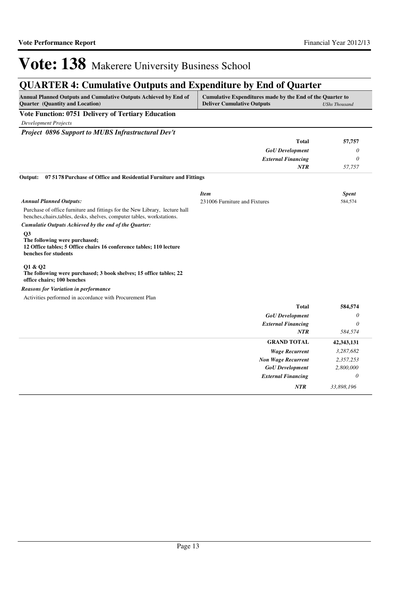*NTR 33,898,196*

## Vote: 138 Makerere University Business School

### **QUARTER 4: Cumulative Outputs and Expenditure by End of Quarter**

| <b>Annual Planned Outputs and Cumulative Outputs Achieved by End of</b> | Cumulative Expenditures made by the End of the Quarter to |               |
|-------------------------------------------------------------------------|-----------------------------------------------------------|---------------|
| <b>Ouarter</b> (Quantity and Location)                                  | <b>Deliver Cumulative Outputs</b>                         | UShs Thousand |
|                                                                         |                                                           |               |

**Vote Function: 0751 Delivery of Tertiary Education**

*Development Projects*

*Project 0896 Support to MUBS Infrastructural Dev't*

|                                                                                                                                                        | <b>Total</b>                  | 57,757       |
|--------------------------------------------------------------------------------------------------------------------------------------------------------|-------------------------------|--------------|
|                                                                                                                                                        | <b>GoU</b> Development        | 0            |
|                                                                                                                                                        | <b>External Financing</b>     | 0            |
|                                                                                                                                                        | <b>NTR</b>                    | 57,757       |
| 07 5178 Purchase of Office and Residential Furniture and Fittings<br>Output:                                                                           |                               |              |
|                                                                                                                                                        | <b>Item</b>                   | <b>Spent</b> |
| <b>Annual Planned Outputs:</b>                                                                                                                         | 231006 Furniture and Fixtures | 584,574      |
| Purchase of office furniture and fittings for the New Library, lecture hall<br>benches, chairs, tables, desks, shelves, computer tables, workstations. |                               |              |
| Cumulatie Outputs Achieved by the end of the Quarter:                                                                                                  |                               |              |
| Q <sub>3</sub><br>The following were purchased;<br>12 Office tables; 5 Office chairs 16 conference tables; 110 lecture<br>benches for students         |                               |              |
| Q1 & Q2<br>The following were purchased; 3 book shelves; 15 office tables; 22<br>office chairs; 100 benches                                            |                               |              |
| <b>Reasons for Variation in performance</b>                                                                                                            |                               |              |
| Activities performed in accordance with Procurement Plan                                                                                               |                               |              |
|                                                                                                                                                        | <b>Total</b>                  | 584,574      |
|                                                                                                                                                        | <b>GoU</b> Development        | 0            |
|                                                                                                                                                        | <b>External Financing</b>     | 0            |
|                                                                                                                                                        | <b>NTR</b>                    | 584,574      |
|                                                                                                                                                        | <b>GRAND TOTAL</b>            | 42,343,131   |
|                                                                                                                                                        | <b>Wage Recurrent</b>         | 3,287,682    |
|                                                                                                                                                        | <b>Non Wage Recurrent</b>     | 2,357,253    |
|                                                                                                                                                        | <b>GoU</b> Development        | 2,800,000    |
|                                                                                                                                                        | <b>External Financing</b>     | 0            |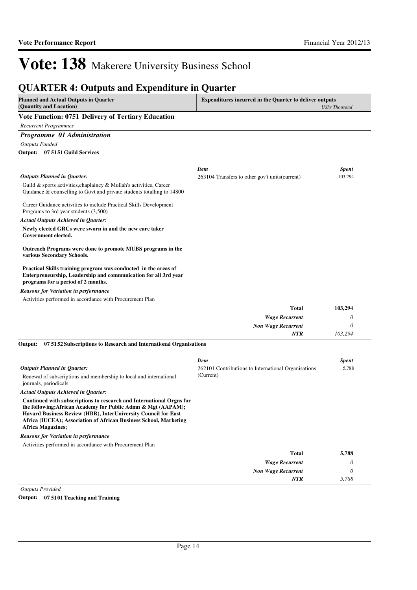### **QUARTER 4: Outputs and Expenditure in Quarter**

| <b>Planned and Actual Outputs in Quarter</b><br>(Quantity and Location)                                                                                                                                                                                                                                  | <b>Expenditures incurred in the Quarter to deliver outputs</b><br><b>UShs Thousand</b> |                       |
|----------------------------------------------------------------------------------------------------------------------------------------------------------------------------------------------------------------------------------------------------------------------------------------------------------|----------------------------------------------------------------------------------------|-----------------------|
| <b>Vote Function: 0751 Delivery of Tertiary Education</b>                                                                                                                                                                                                                                                |                                                                                        |                       |
| <b>Recurrent Programmes</b>                                                                                                                                                                                                                                                                              |                                                                                        |                       |
| <b>Programme 01 Administration</b>                                                                                                                                                                                                                                                                       |                                                                                        |                       |
| <b>Outputs Funded</b>                                                                                                                                                                                                                                                                                    |                                                                                        |                       |
| Output: 07 5151 Guild Services                                                                                                                                                                                                                                                                           |                                                                                        |                       |
|                                                                                                                                                                                                                                                                                                          |                                                                                        |                       |
|                                                                                                                                                                                                                                                                                                          | <b>Item</b>                                                                            | <b>Spent</b>          |
| <b>Outputs Planned in Quarter:</b>                                                                                                                                                                                                                                                                       | 263104 Transfers to other gov't units (current)                                        | 103,294               |
| Guild & sports activities, chaplaincy & Mullah's activities, Career<br>Guidance $\&$ counselling to Govt and private students totalling to 14800                                                                                                                                                         |                                                                                        |                       |
|                                                                                                                                                                                                                                                                                                          |                                                                                        |                       |
| Career Guidance activities to include Practical Skills Development<br>Programs to 3rd year students (3,500)                                                                                                                                                                                              |                                                                                        |                       |
| <b>Actual Outputs Achieved in Quarter:</b>                                                                                                                                                                                                                                                               |                                                                                        |                       |
| Newly elected GRCs were sworn in and the new care taker                                                                                                                                                                                                                                                  |                                                                                        |                       |
| Government elected.                                                                                                                                                                                                                                                                                      |                                                                                        |                       |
| Outreach Programs were done to promote MUBS programs in the<br>various Secondary Schools.                                                                                                                                                                                                                |                                                                                        |                       |
| Practical Skills training program was conducted in the areas of<br>Enterpreneurship, Leadership and communication for all 3rd year<br>programs for a period of 2 months.                                                                                                                                 |                                                                                        |                       |
| <b>Reasons for Variation in performance</b>                                                                                                                                                                                                                                                              |                                                                                        |                       |
| Activities performed in accordance with Procurement Plan                                                                                                                                                                                                                                                 |                                                                                        |                       |
|                                                                                                                                                                                                                                                                                                          | <b>Total</b>                                                                           | 103,294               |
|                                                                                                                                                                                                                                                                                                          | <b>Wage Recurrent</b>                                                                  | 0                     |
|                                                                                                                                                                                                                                                                                                          | <b>Non Wage Recurrent</b>                                                              | 0                     |
|                                                                                                                                                                                                                                                                                                          | <b>NTR</b>                                                                             | 103,294               |
| 07 51 52 Subscriptions to Research and International Organisations<br>Output:                                                                                                                                                                                                                            |                                                                                        |                       |
|                                                                                                                                                                                                                                                                                                          | <b>Item</b>                                                                            |                       |
| <b>Outputs Planned in Quarter:</b>                                                                                                                                                                                                                                                                       | 262101 Contributions to International Organisations                                    | <b>Spent</b><br>5,788 |
| Renewal of subscriptions and membership to local and international<br>journals, periodicals                                                                                                                                                                                                              | (Current)                                                                              |                       |
| <b>Actual Outputs Achieved in Quarter:</b>                                                                                                                                                                                                                                                               |                                                                                        |                       |
| Continued with subscriptions to research and International Orgns for<br>the following; African Academy for Public Admn & Mgt (AAPAM);<br>Havard Business Review (HBR), InterUniversity Council for East<br>Africa (IUCEA); Association of African Business School, Marketing<br><b>Africa Magazines;</b> |                                                                                        |                       |
| <b>Reasons for Variation in performance</b>                                                                                                                                                                                                                                                              |                                                                                        |                       |
| Activities performed in accordance with Procurement Plan                                                                                                                                                                                                                                                 |                                                                                        |                       |
|                                                                                                                                                                                                                                                                                                          | <b>Total</b>                                                                           | 5,788                 |
|                                                                                                                                                                                                                                                                                                          | <b>Wage Recurrent</b>                                                                  | 0                     |

*Non Wage Recurrent*

*NTR*

*0 5,788*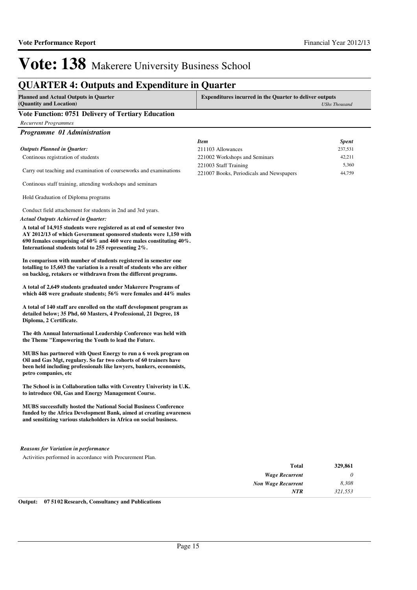### **QUARTER 4: Outputs and Expenditure in Quarter**

| Planned and Actual Outputs in Quarter | <b>Expenditures incurred in the Quarter to deliver outputs</b> |
|---------------------------------------|----------------------------------------------------------------|
| (Quantity and Location)               | UShs Thousand                                                  |
| .<br>$\sim$ $\sim$                    |                                                                |

**Vote Function: 0751 Delivery of Tertiary Education** *Recurrent Programmes Programme 01 Administration* Continous registration of students Carry out teaching and examination of courseworks and examinations Continous staff training, attending workshops and seminars Hold Graduation of Diploma programs Conduct field attachement for students in 2nd and 3rd years. **A total of 14,915 students were registered as at end of semester two AY 2012/13 of which Government sponsored students were 1,150 with 690 females comprising of 60% and 460 were males constituting 40%. International students total to 255 representing 2%. In comparison with number of students registered in semester one totalling to 15,603 the variation is a result of students who are either on backlog, retakers or withdrawn from the different programs. A total of 2,649 students graduated under Makerere Programs of which 448 were graduate students; 56% were females and 44% males A total of 140 staff are enrolled on the staff development program as detailed below; 35 Phd, 60 Masters, 4 Professional, 21 Degree, 18 Diploma, 2 Certificate. The 4th Annual International Leadership Conference was held with the Theme "Empowering the Youth to lead the Future. MUBS has partnered with Quest Energy to run a 6 week program on**  *Actual Outputs Achieved in Quarter: Outputs Planned in Quarter: Item Spent* 211103 Allowances 237,531 221002 Workshops and Seminars 42,211 221003 Staff Training 5,360 221007 Books, Periodicals and Newspapers 44,759

**Oil and Gas Mgt, regulary. So far two cohorts of 60 trainers have been held including professionals like lawyers, bankers, economists, petro companies, etc**

**The School is in Collaboration talks with Coventry Univeristy in U.K. to introduce Oil, Gas and Energy Management Course.**

**MUBS successfully hosted the National Social Business Conference funded by the Africa Development Bank, aimed at creating awareness and sensitizing various stakeholders in Africa on social business.**

#### *Reasons for Variation in performance*

Activities performed in accordance with Procurement Plan.

| 329,861 | <b>Total</b>              |
|---------|---------------------------|
| 0       | <b>Wage Recurrent</b>     |
| 8,308   | <b>Non Wage Recurrent</b> |
| 321,553 | <b>NTR</b>                |
|         |                           |

**Output: 07 5102 Research, Consultancy and Publications**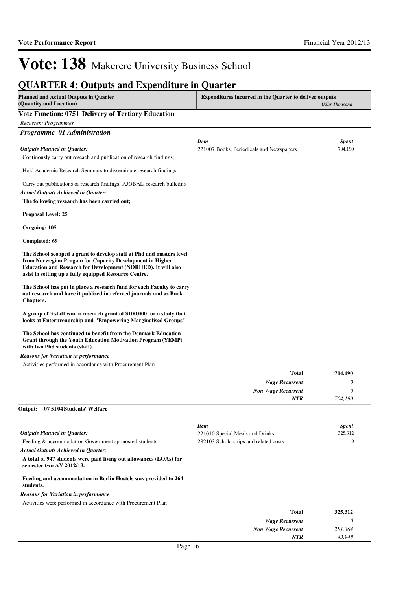### **QUARTER 4: Outputs and Expenditure in Quarter**

| <b>Planned and Actual Outputs in Quarter</b><br>(Quantity and Location)                                                                                                                                                                                    | <b>Expenditures incurred in the Quarter to deliver outputs</b> | <b>UShs Thousand</b> |
|------------------------------------------------------------------------------------------------------------------------------------------------------------------------------------------------------------------------------------------------------------|----------------------------------------------------------------|----------------------|
| Vote Function: 0751 Delivery of Tertiary Education                                                                                                                                                                                                         |                                                                |                      |
| <b>Recurrent Programmes</b>                                                                                                                                                                                                                                |                                                                |                      |
| Programme 01 Administration                                                                                                                                                                                                                                |                                                                |                      |
|                                                                                                                                                                                                                                                            | <b>Item</b>                                                    | <b>Spent</b>         |
| <b>Outputs Planned in Quarter:</b>                                                                                                                                                                                                                         | 221007 Books, Periodicals and Newspapers                       | 704,190              |
| Continually carry out reseach and publication of research findings;                                                                                                                                                                                        |                                                                |                      |
| Hold Academic Research Seminars to disseminate research findings                                                                                                                                                                                           |                                                                |                      |
| Carry out publications of research findings; AJOBAL, research bulletins                                                                                                                                                                                    |                                                                |                      |
| <b>Actual Outputs Achieved in Quarter:</b>                                                                                                                                                                                                                 |                                                                |                      |
| The following research has been carried out;                                                                                                                                                                                                               |                                                                |                      |
| <b>Proposal Level: 25</b>                                                                                                                                                                                                                                  |                                                                |                      |
| On going: 105                                                                                                                                                                                                                                              |                                                                |                      |
| Completed: 69                                                                                                                                                                                                                                              |                                                                |                      |
| The School scooped a grant to develop staff at Phd and masters level<br>from Norwegian Progam for Capacity Development in Higher<br>Education and Research for Development (NORHED). It will also<br>asist in setting up a fully equipped Resource Centre. |                                                                |                      |
| The School has put in place a research fund for each Faculty to carry<br>out research and have it publised in referred journals and as Book<br>Chapters.                                                                                                   |                                                                |                      |
| A group of 3 staff won a research grant of \$100,000 for a study that<br>looks at Enterprenurship and "Empowering Marginalised Groups"                                                                                                                     |                                                                |                      |
| The School has continued to benefit from the Denmark Education<br><b>Grant through the Youth Education Motivation Program (YEMP)</b><br>with two Phd students (staff).                                                                                     |                                                                |                      |
| Reasons for Variation in performance                                                                                                                                                                                                                       |                                                                |                      |
| Activities performed in accordance with Procurement Plan                                                                                                                                                                                                   |                                                                |                      |
|                                                                                                                                                                                                                                                            | <b>Total</b>                                                   | 704,190              |
|                                                                                                                                                                                                                                                            | <b>Wage Recurrent</b>                                          | 0                    |
|                                                                                                                                                                                                                                                            | <b>Non Wage Recurrent</b>                                      | 0                    |
|                                                                                                                                                                                                                                                            | NTR                                                            | 704,190              |

#### **07 5104 Students' Welfare Output:**

|                                                                                                | <b>Item</b>                           | <b>Spent</b> |
|------------------------------------------------------------------------------------------------|---------------------------------------|--------------|
| <b>Outputs Planned in Ouarter:</b>                                                             | 221010 Special Meals and Drinks       | 325,312      |
| Feeding & accommodation Government sponosred students                                          | 282103 Scholarships and related costs | 0            |
| <b>Actual Outputs Achieved in Ouarter:</b>                                                     |                                       |              |
| A total of 947 students were paid living out allowances (LOAs) for<br>semester two AY 2012/13. |                                       |              |
| Feeding and accommodation in Berlin Hostels was provided to 264<br>students.                   |                                       |              |
| <b>Reasons for Variation in performance</b>                                                    |                                       |              |
| Activities were performed in accordance with Procurement Plan                                  |                                       |              |
|                                                                                                | Total                                 | 325,312      |
|                                                                                                | <b>Wage Recurrent</b>                 |              |

*Non Wage Recurrent*

*NTR*

*281,364 43,948*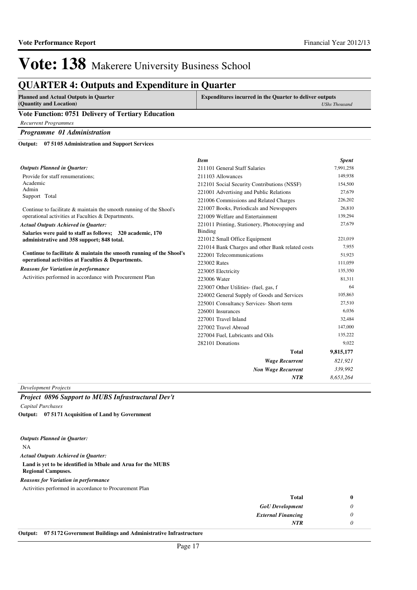### **QUARTER 4: Outputs and Expenditure in Quarter**

| <b>Planned and Actual Outputs in Quarter</b> | <b>Expenditures incurred in the Quarter to deliver outputs</b> |
|----------------------------------------------|----------------------------------------------------------------|
| (Quantity and Location)                      | UShs Thousand                                                  |
| ___<br>--------<br>---                       |                                                                |

#### **Vote Function: 0751 Delivery of Tertiary Education**

*Recurrent Programmes*

*Programme 01 Administration*

**07 5105 Administration and Support Services Output:**

|                                                                     | <b>Item</b>                                      | <b>Spent</b> |
|---------------------------------------------------------------------|--------------------------------------------------|--------------|
| <b>Outputs Planned in Quarter:</b>                                  | 211101 General Staff Salaries                    | 7,991,258    |
| Provide for staff renumerations:                                    | 211103 Allowances                                | 149,938      |
| Academic                                                            | 212101 Social Security Contributions (NSSF)      | 154,500      |
| Admin<br>Support Total                                              | 221001 Advertising and Public Relations          | 27,679       |
|                                                                     | 221006 Commissions and Related Charges           | 226,202      |
| Continue to facilitate & maintain the smooth running of the Shool's | 221007 Books, Periodicals and Newspapers         | 26,810       |
| operational activities at Faculties & Departments.                  | 221009 Welfare and Entertainment                 | 139,294      |
| <b>Actual Outputs Achieved in Quarter:</b>                          | 221011 Printing, Stationery, Photocopying and    | 27,679       |
| Salaries were paid to staff as follows; 320 academic, 170           | Binding                                          |              |
| administrative and 358 support; 848 total.                          | 221012 Small Office Equipment                    | 221,019      |
| Continue to facilitate & maintain the smooth running of the Shool's | 221014 Bank Charges and other Bank related costs | 7,955        |
|                                                                     | 222001 Telecommunications                        | 51,923       |
| operational activities at Faculties & Departments.                  | 223002 Rates                                     | 111,059      |
| <b>Reasons for Variation in performance</b>                         | 223005 Electricity                               | 135,350      |
| Activities performed in accordance with Procurement Plan            | 223006 Water                                     | 81,311       |
|                                                                     | 223007 Other Utilities- (fuel, gas, f            | 64           |
|                                                                     | 224002 General Supply of Goods and Services      | 105,863      |
|                                                                     | 225001 Consultancy Services- Short-term          | 27,510       |
|                                                                     | 226001 Insurances                                | 6,036        |
|                                                                     | 227001 Travel Inland                             | 32,484       |
|                                                                     | 227002 Travel Abroad                             | 147,000      |
|                                                                     | 227004 Fuel. Lubricants and Oils                 | 135,222      |
|                                                                     | 282101 Donations                                 | 9,022        |
|                                                                     | <b>Total</b>                                     | 9,815,177    |
|                                                                     | <b>Wage Recurrent</b>                            | 821,921      |
|                                                                     | <b>Non Wage Recurrent</b>                        | 339,992      |
|                                                                     | <b>NTR</b>                                       | 8,653,264    |

*Development Projects*

#### *Project 0896 Support to MUBS Infrastructural Dev't*

*Capital Purchases*

**07 5171 Acquisition of Land by Government Output:**

|  |  |  | <b>Outputs Planned in Quarter:</b> |
|--|--|--|------------------------------------|
|--|--|--|------------------------------------|

NA

*Actual Outputs Achieved in Quarter:*

#### **Land is yet to be identified in Mbale and Arua for the MUBS**

**Regional Campuses.**

*Reasons for Variation in performance*

Activities performed in accordance to Procurement Plan

| Total                     |  |
|---------------------------|--|
| <b>GoU</b> Development    |  |
| <b>External Financing</b> |  |
| <b>NTR</b>                |  |
|                           |  |

#### **Output: 07 5172 Government Buildings and Administrative Infrastructure**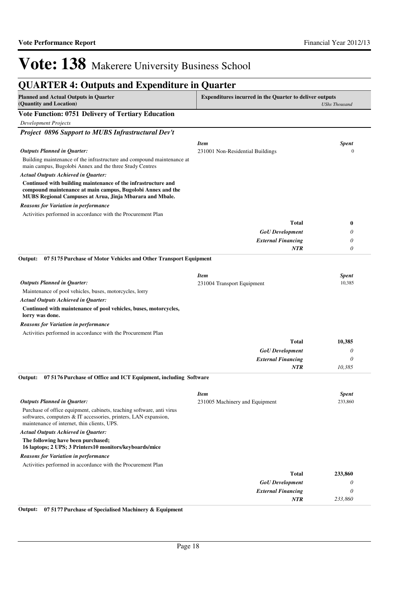| <b>QUARTER 4: Outputs and Expenditure in Quarter</b>                                                                                                                                     |                                           |                        |
|------------------------------------------------------------------------------------------------------------------------------------------------------------------------------------------|-------------------------------------------|------------------------|
| <b>Planned and Actual Outputs in Quarter</b><br><b>Expenditures incurred in the Quarter to deliver outputs</b><br>(Quantity and Location)                                                |                                           | <b>UShs Thousand</b>   |
| Vote Function: 0751 Delivery of Tertiary Education                                                                                                                                       |                                           |                        |
| <b>Development Projects</b>                                                                                                                                                              |                                           |                        |
| Project 0896 Support to MUBS Infrastructural Dev't                                                                                                                                       |                                           |                        |
|                                                                                                                                                                                          | <b>Item</b>                               | <b>Spent</b>           |
| <b>Outputs Planned in Quarter:</b>                                                                                                                                                       | 231001 Non-Residential Buildings          | $\Omega$               |
| Building maintenance of the infrastructure and compound maintenance at<br>main campus, Bugolobi Annex and the three Study Centres                                                        |                                           |                        |
| <b>Actual Outputs Achieved in Quarter:</b>                                                                                                                                               |                                           |                        |
| Continued with building maintenance of the infrastructure and<br>compound maintenance at main campus, Bugolobi Annex and the<br>MUBS Regional Campuses at Arua, Jinja Mbarara and Mbale. |                                           |                        |
| Reasons for Variation in performance                                                                                                                                                     |                                           |                        |
| Activities performed in accordance with the Procurement Plan                                                                                                                             |                                           |                        |
|                                                                                                                                                                                          | <b>Total</b>                              | 0                      |
|                                                                                                                                                                                          | <b>GoU</b> Development                    | 0                      |
|                                                                                                                                                                                          | <b>External Financing</b>                 | 0                      |
|                                                                                                                                                                                          | <b>NTR</b>                                | 0                      |
| 07 5175 Purchase of Motor Vehicles and Other Transport Equipment<br>Output:                                                                                                              |                                           |                        |
|                                                                                                                                                                                          |                                           |                        |
| <b>Outputs Planned in Quarter:</b>                                                                                                                                                       | <b>Item</b><br>231004 Transport Equipment | <b>Spent</b><br>10,385 |
| Maintenance of pool vehicles, buses, motorcycles, lorry                                                                                                                                  |                                           |                        |
| <b>Actual Outputs Achieved in Quarter:</b>                                                                                                                                               |                                           |                        |
| Continued with maintenance of pool vehicles, buses, motorcycles,<br>lorry was done.                                                                                                      |                                           |                        |
| Reasons for Variation in performance                                                                                                                                                     |                                           |                        |
| Activities performed in accordance with the Procurement Plan                                                                                                                             |                                           |                        |
|                                                                                                                                                                                          | <b>Total</b>                              | 10,385                 |
|                                                                                                                                                                                          | <b>GoU</b> Development                    | 0                      |
|                                                                                                                                                                                          | <b>External Financing</b>                 | 0                      |
|                                                                                                                                                                                          | <b>NTR</b>                                | 10,385                 |
| Output:<br>07 5176 Purchase of Office and ICT Equipment, including Software                                                                                                              |                                           |                        |
|                                                                                                                                                                                          | <b>Item</b>                               | <b>Spent</b>           |
| <b>Outputs Planned in Quarter:</b>                                                                                                                                                       | 231005 Machinery and Equipment            | 233,860                |
| Purchase of office equipment, cabinets, teaching software, anti virus<br>softwares, computers & IT accessories, printers, LAN expansion,<br>maintenance of internet, thin clients, UPS.  |                                           |                        |
| <b>Actual Outputs Achieved in Quarter:</b>                                                                                                                                               |                                           |                        |
| The following have been purchased;<br>16 laptops; 2 UPS; 3 Printers10 monitors/keyboards/mice                                                                                            |                                           |                        |
| <b>Reasons for Variation in performance</b>                                                                                                                                              |                                           |                        |
| Activities performed in accordance with the Procurement Plan                                                                                                                             |                                           |                        |
|                                                                                                                                                                                          | <b>Total</b>                              | 233,860                |
|                                                                                                                                                                                          | <b>GoU</b> Development                    | 0                      |
|                                                                                                                                                                                          | <b>External Financing</b>                 | 0                      |
|                                                                                                                                                                                          | NTR                                       | 233,860                |

**Output: 07 5177 Purchase of Specialised Machinery & Equipment**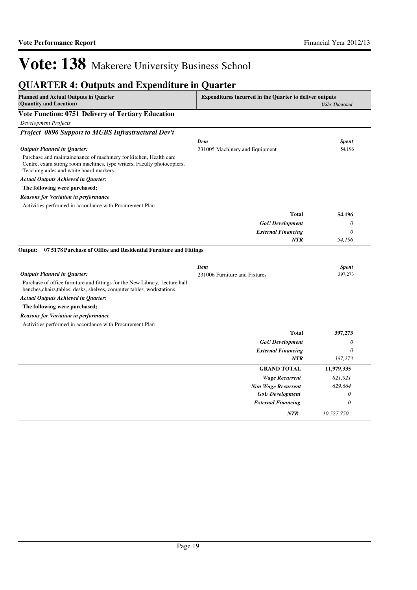*NTR 10,527,750*

## Vote: 138 Makerere University Business School

| <b>QUARTER 4: Outputs and Expenditure in Quarter</b>                                                                                                                                         |                                |                      |
|----------------------------------------------------------------------------------------------------------------------------------------------------------------------------------------------|--------------------------------|----------------------|
| <b>Planned and Actual Outputs in Quarter</b><br><b>Expenditures incurred in the Quarter to deliver outputs</b><br>(Quantity and Location)                                                    |                                | <b>UShs Thousand</b> |
| Vote Function: 0751 Delivery of Tertiary Education                                                                                                                                           |                                |                      |
| <b>Development Projects</b>                                                                                                                                                                  |                                |                      |
| Project 0896 Support to MUBS Infrastructural Dev't                                                                                                                                           |                                |                      |
|                                                                                                                                                                                              | <b>Item</b>                    | <b>Spent</b>         |
| <b>Outputs Planned in Quarter:</b>                                                                                                                                                           | 231005 Machinery and Equipment | 54,196               |
| Purchase and maintainenance of machinery for kitchen, Health care<br>Centre, exam strong room machines, type writers, Faculty photocopiers,<br>Teaching aides and white board markers.       |                                |                      |
| <b>Actual Outputs Achieved in Quarter:</b>                                                                                                                                                   |                                |                      |
| The following were purchased;                                                                                                                                                                |                                |                      |
| <b>Reasons for Variation in performance</b>                                                                                                                                                  |                                |                      |
| Activities performed in accordance with Procurement Plan                                                                                                                                     |                                |                      |
|                                                                                                                                                                                              | <b>Total</b>                   | 54,196               |
|                                                                                                                                                                                              | <b>GoU</b> Development         | 0                    |
|                                                                                                                                                                                              | <b>External Financing</b>      | $\theta$             |
|                                                                                                                                                                                              | <b>NTR</b>                     | 54,196               |
| 07 5178 Purchase of Office and Residential Furniture and Fittings<br>Output:                                                                                                                 |                                |                      |
|                                                                                                                                                                                              | <b>Item</b>                    | <b>Spent</b>         |
| <b>Outputs Planned in Quarter:</b><br>Purchase of office furniture and fittings for the New Library, lecture hall<br>benches, chairs, tables, desks, shelves, computer tables, workstations. | 231006 Furniture and Fixtures  | 397,273              |
| <b>Actual Outputs Achieved in Quarter:</b>                                                                                                                                                   |                                |                      |
| The following were purchased;                                                                                                                                                                |                                |                      |
| <b>Reasons for Variation in performance</b>                                                                                                                                                  |                                |                      |
| Activities performed in accordance with Procurement Plan                                                                                                                                     |                                |                      |
|                                                                                                                                                                                              | <b>Total</b>                   | 397,273              |
|                                                                                                                                                                                              | <b>GoU</b> Development         | 0                    |
|                                                                                                                                                                                              | <b>External Financing</b>      | 0                    |
|                                                                                                                                                                                              | NTR                            | 397,273              |
|                                                                                                                                                                                              | <b>GRAND TOTAL</b>             | 11,979,335           |
|                                                                                                                                                                                              | <b>Wage Recurrent</b>          | 821,921              |
|                                                                                                                                                                                              | <b>Non Wage Recurrent</b>      | 629,664              |
|                                                                                                                                                                                              | <b>GoU</b> Development         | 0                    |
|                                                                                                                                                                                              | <b>External Financing</b>      | $\theta$             |